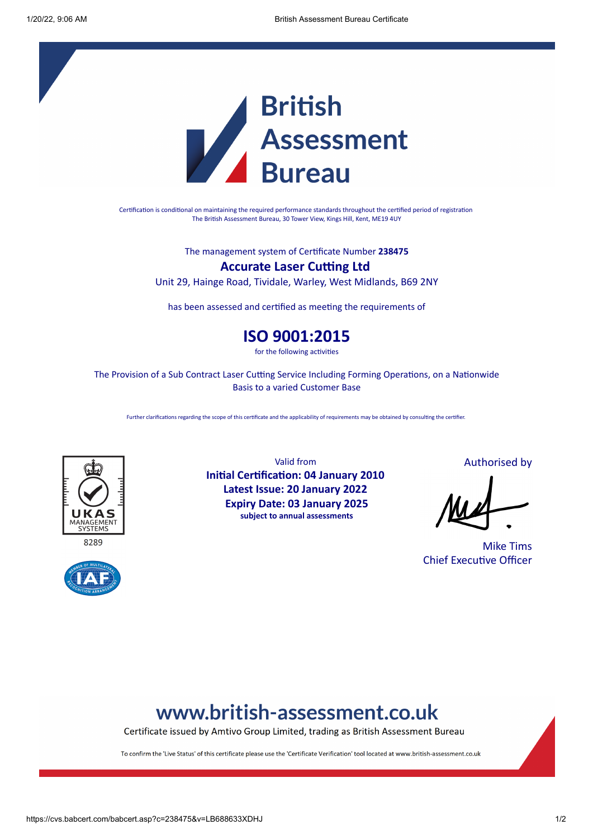

Certification is conditional on maintaining the required performance standards throughout the certified period of registration The British Assessment Bureau, 30 Tower View, Kings Hill, Kent, ME19 4UY

The management system of Certificate Number **238475**

### **Accurate Laser Cutting Ltd**

Unit 29, Hainge Road, Tividale, Warley, West Midlands, B69 2NY

has been assessed and certified as meeting the requirements of

### **ISO 9001:2015**

for the following activities

The Provision of a Sub Contract Laser Cutting Service Including Forming Operations, on a Nationwide Basis to a varied Customer Base

Further clarifications regarding the scope of this certificate and the applicability of requirements may be obtained by consulting the certifier.



8289



Valid from **Initial Certification: 04 January 2010 Latest Issue: 20 January 2022 Expiry Date: 03 January 2025 subject to annual assessments**

Authorised by

Mike Tims Chief Executive Officer

# www.british-assessment.co.uk

Certificate issued by Amtivo Group Limited, trading as British Assessment Bureau

To confirm the 'Live Status' of this certificate please use the 'Certificate Verification' tool located at www.british-assessment.co.uk